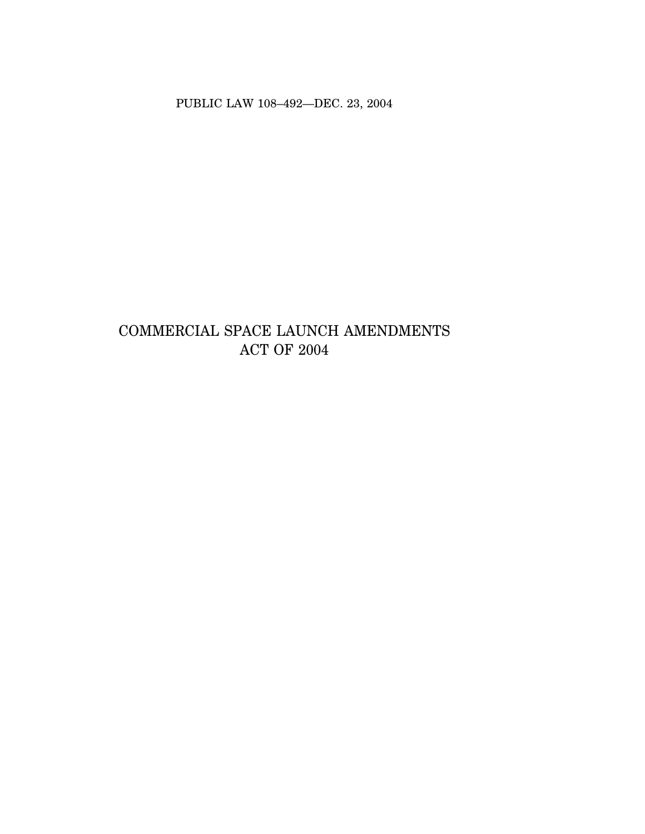PUBLIC LAW 108–492—DEC. 23, 2004

# COMMERCIAL SPACE LAUNCH AMENDMENTS ACT OF 2004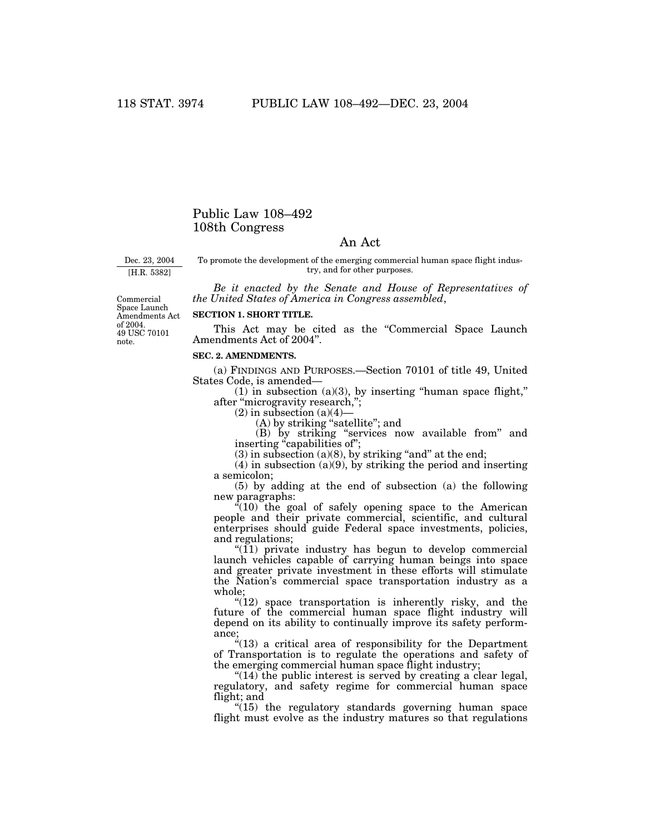# Public Law 108–492 108th Congress

# An Act

Dec. 23, 2004

[H.R. 5382]

To promote the development of the emerging commercial human space flight industry, and for other purposes.

*Be it enacted by the Senate and House of Representatives of the United States of America in Congress assembled*,

49 USC 70101 note. Commercial Space Launch Amendments Act of 2004.

### **SECTION 1. SHORT TITLE.**

This Act may be cited as the "Commercial Space Launch Amendments Act of 2004''.

#### **SEC. 2. AMENDMENTS.**

(a) FINDINGS AND PURPOSES.—Section 70101 of title 49, United States Code, is amended—

 $(1)$  in subsection  $(a)(3)$ , by inserting "human space flight," after "microgravity research,";

 $(2)$  in subsection  $(a)(4)$ 

(A) by striking "satellite"; and

(B) by striking ''services now available from'' and inserting "capabilities of";

 $(3)$  in subsection  $(a)(8)$ , by striking "and" at the end;

 $(4)$  in subsection  $(a)(9)$ , by striking the period and inserting a semicolon;

(5) by adding at the end of subsection (a) the following new paragraphs:

"(10) the goal of safely opening space to the American people and their private commercial, scientific, and cultural enterprises should guide Federal space investments, policies, and regulations;

" $(11)$  private industry has begun to develop commercial launch vehicles capable of carrying human beings into space and greater private investment in these efforts will stimulate the Nation's commercial space transportation industry as a whole;

" $(12)$  space transportation is inherently risky, and the future of the commercial human space flight industry will depend on its ability to continually improve its safety performance;

 $x^2(13)$  a critical area of responsibility for the Department of Transportation is to regulate the operations and safety of the emerging commercial human space flight industry;

" $(14)$  the public interest is served by creating a clear legal, regulatory, and safety regime for commercial human space flight; and

"(15) the regulatory standards governing human space flight must evolve as the industry matures so that regulations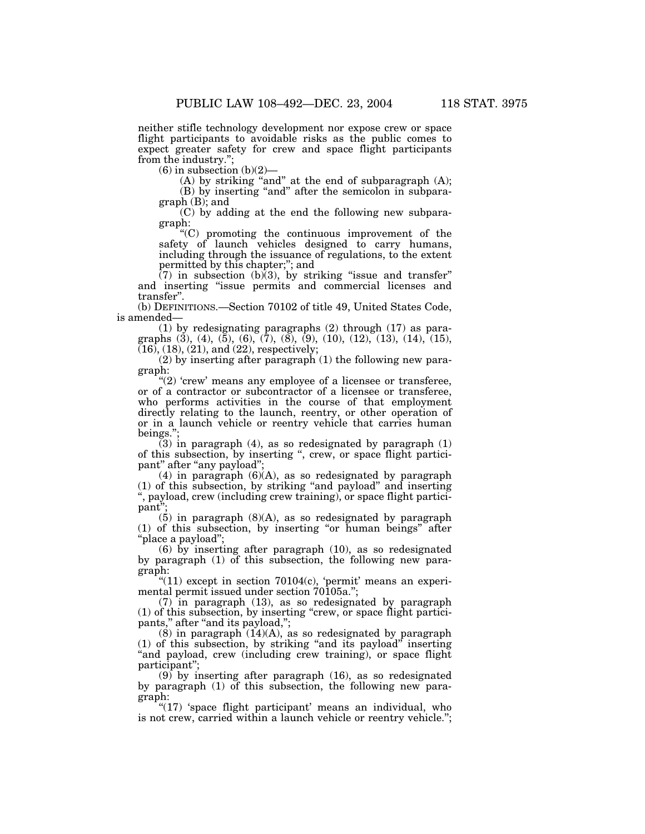neither stifle technology development nor expose crew or space flight participants to avoidable risks as the public comes to expect greater safety for crew and space flight participants from the industry.'';

 $(6)$  in subsection  $(b)(2)$ —

(A) by striking "and" at the end of subparagraph  $(A)$ ;

(B) by inserting "and" after the semicolon in subparagraph (B); and

(C) by adding at the end the following new subparagraph:

''(C) promoting the continuous improvement of the safety of launch vehicles designed to carry humans, including through the issuance of regulations, to the extent permitted by this chapter;''; and

 $(7)$  in subsection (b) $(3)$ , by striking "issue and transfer" and inserting ''issue permits and commercial licenses and transfer''.

(b) DEFINITIONS.—Section 70102 of title 49, United States Code, is amended—

(1) by redesignating paragraphs (2) through (17) as paragraphs (3), (4), (5), (6), (7), (8), (9), (10), (12), (13), (14), (15),  $(16)$ ,  $(18)$ ,  $(21)$ , and  $(22)$ , respectively;

 $(2)$  by inserting after paragraph  $(1)$  the following new paragraph:

" $(2)$  'crew' means any employee of a licensee or transferee, or of a contractor or subcontractor of a licensee or transferee, who performs activities in the course of that employment directly relating to the launch, reentry, or other operation of or in a launch vehicle or reentry vehicle that carries human beings.'';

(3) in paragraph (4), as so redesignated by paragraph (1) of this subsection, by inserting '', crew, or space flight participant" after "any payload";

(4) in paragraph  $(6)(A)$ , as so redesignated by paragraph (1) of this subsection, by striking ''and payload'' and inserting , payload, crew (including crew training), or space flight participant'';

(5) in paragraph (8)(A), as so redesignated by paragraph (1) of this subsection, by inserting ''or human beings'' after ''place a payload'';

(6) by inserting after paragraph (10), as so redesignated by paragraph (1) of this subsection, the following new paragraph:

" $(11)$  except in section 70104 $(c)$ , 'permit' means an experimental permit issued under section 70105a.";

(7) in paragraph (13), as so redesignated by paragraph  $(1)$  of this subsection, by inserting "crew, or space flight participants," after "and its payload,";

 $(8)$  in paragraph  $(14)(A)$ , as so redesignated by paragraph (1) of this subsection, by striking ''and its payload'' inserting "and payload, crew (including crew training), or space flight participant'';

 $(9)$  by inserting after paragraph (16), as so redesignated by paragraph (1) of this subsection, the following new paragraph:

" $(17)$  'space flight participant' means an individual, who is not crew, carried within a launch vehicle or reentry vehicle.'';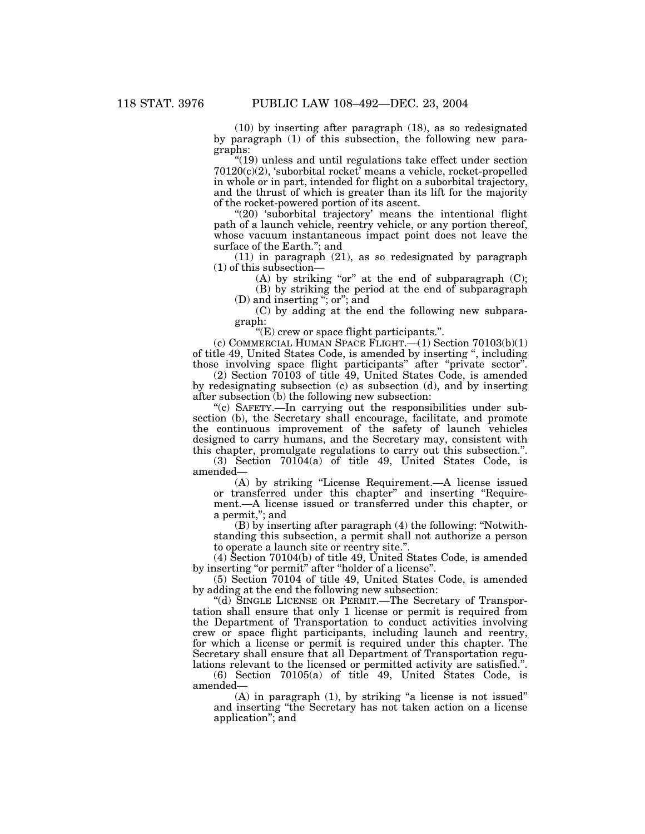(10) by inserting after paragraph (18), as so redesignated by paragraph (1) of this subsection, the following new paragraphs:

''(19) unless and until regulations take effect under section  $70120(c)(2)$ , 'suborbital rocket' means a vehicle, rocket-propelled in whole or in part, intended for flight on a suborbital trajectory, and the thrust of which is greater than its lift for the majority of the rocket-powered portion of its ascent.

" $(20)$  'suborbital trajectory' means the intentional flight path of a launch vehicle, reentry vehicle, or any portion thereof, whose vacuum instantaneous impact point does not leave the surface of the Earth.''; and

(11) in paragraph (21), as so redesignated by paragraph (1) of this subsection—

(A) by striking "or" at the end of subparagraph  $(C)$ ; (B) by striking the period at the end of subparagraph

(D) and inserting ''; or''; and

(C) by adding at the end the following new subparagraph:

''(E) crew or space flight participants.''.

(c) COMMERCIAL HUMAN SPACE FLIGHT.—(1) Section 70103(b)(1) of title 49, United States Code, is amended by inserting '', including those involving space flight participants" after "private sector"

(2) Section 70103 of title 49, United States Code, is amended by redesignating subsection (c) as subsection (d), and by inserting after subsection (b) the following new subsection:

''(c) SAFETY.—In carrying out the responsibilities under subsection (b), the Secretary shall encourage, facilitate, and promote the continuous improvement of the safety of launch vehicles designed to carry humans, and the Secretary may, consistent with this chapter, promulgate regulations to carry out this subsection.''.

(3) Section 70104(a) of title 49, United States Code, is amended—

(A) by striking ''License Requirement.—A license issued or transferred under this chapter'' and inserting ''Requirement.—A license issued or transferred under this chapter, or a permit,''; and

(B) by inserting after paragraph (4) the following: ''Notwithstanding this subsection, a permit shall not authorize a person to operate a launch site or reentry site.''.

(4) Section 70104(b) of title 49, United States Code, is amended by inserting "or permit" after "holder of a license".

(5) Section 70104 of title 49, United States Code, is amended by adding at the end the following new subsection:

''(d) SINGLE LICENSE OR PERMIT.—The Secretary of Transportation shall ensure that only 1 license or permit is required from the Department of Transportation to conduct activities involving crew or space flight participants, including launch and reentry, for which a license or permit is required under this chapter. The Secretary shall ensure that all Department of Transportation regulations relevant to the licensed or permitted activity are satisfied.''.

(6) Section 70105(a) of title 49, United States Code, is amended—

(A) in paragraph (1), by striking "a license is not issued" and inserting ''the Secretary has not taken action on a license application''; and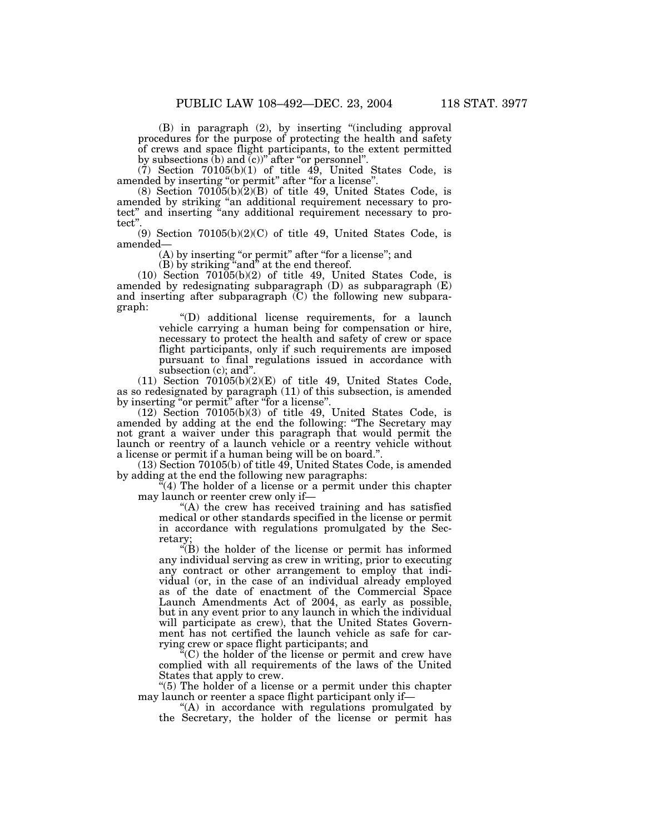(B) in paragraph (2), by inserting "(including approval procedures for the purpose of protecting the health and safety of crews and space flight participants, to the extent permitted by subsections  $(b)$  and  $(c)$ )" after "or personnel".

(7) Section 70105(b)(1) of title 49, United States Code, is amended by inserting "or permit" after "for a license"

(8) Section  $70105(b)(2)(B)$  of title 49, United States Code, is amended by striking ''an additional requirement necessary to protect'' and inserting ''any additional requirement necessary to protect''.

 $(9)$  Section  $70105(b)(2)(C)$  of title 49, United States Code, is amended—

(A) by inserting "or permit" after "for a license"; and

(B) by striking "and" at the end thereof.

 $(10)$  Section  $70105(b)(2)$  of title 49, United States Code, is amended by redesignating subparagraph (D) as subparagraph (E) and inserting after subparagraph (C) the following new subparagraph:

''(D) additional license requirements, for a launch vehicle carrying a human being for compensation or hire, necessary to protect the health and safety of crew or space flight participants, only if such requirements are imposed pursuant to final regulations issued in accordance with subsection (c); and''.

(11) Section 70105(b)(2)(E) of title 49, United States Code, as so redesignated by paragraph (11) of this subsection, is amended by inserting "or permit" after "for a license".

(12) Section 70105(b)(3) of title 49, United States Code, is amended by adding at the end the following: ''The Secretary may not grant a waiver under this paragraph that would permit the launch or reentry of a launch vehicle or a reentry vehicle without a license or permit if a human being will be on board."

(13) Section 70105(b) of title 49, United States Code, is amended by adding at the end the following new paragraphs:

 $(4)$  The holder of a license or a permit under this chapter may launch or reenter crew only if—

"(A) the crew has received training and has satisfied medical or other standards specified in the license or permit in accordance with regulations promulgated by the Secretary;

''(B) the holder of the license or permit has informed any individual serving as crew in writing, prior to executing any contract or other arrangement to employ that individual (or, in the case of an individual already employed as of the date of enactment of the Commercial Space Launch Amendments Act of 2004, as early as possible, but in any event prior to any launch in which the individual will participate as crew), that the United States Government has not certified the launch vehicle as safe for carrying crew or space flight participants; and

''(C) the holder of the license or permit and crew have complied with all requirements of the laws of the United States that apply to crew.

''(5) The holder of a license or a permit under this chapter may launch or reenter a space flight participant only if—

"(A) in accordance with regulations promulgated by the Secretary, the holder of the license or permit has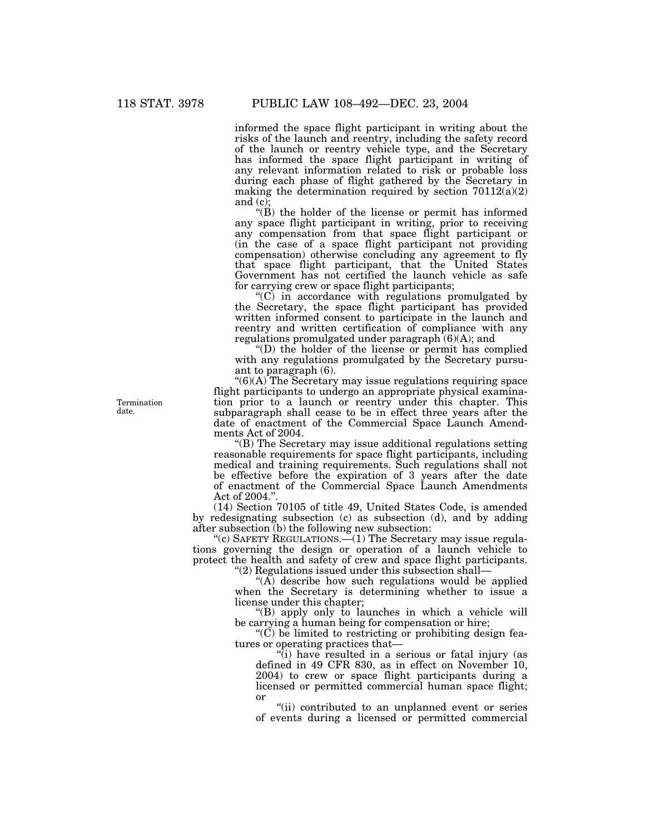informed the space flight participant in writing about the risks of the launch and reentry, including the safety record of the launch or reentry vehicle type, and the Secretary has informed the space flight participant in writing of any relevant information related to risk or probable loss during each phase of flight gathered by the Secretary in making the determination required by section  $70112(a)(2)$ and  $(c)$ ;

 $'(B)$  the holder of the license or permit has informed any space flight participant in writing, prior to receiving any compensation from that space flight participant or (in the case of a space flight participant not providing compensation) otherwise concluding any agreement to fly that space flight participant, that the United States Government has not certified the launch vehicle as safe for carrying crew or space flight participants;

 $(C)$  in accordance with regulations promulgated by the Secretary, the space flight participant has provided written informed consent to participate in the launch and reentry and written certification of compliance with any regulations promulgated under paragraph (6)(A); and

''(D) the holder of the license or permit has complied with any regulations promulgated by the Secretary pursuant to paragraph (6).

 $"(6)(A)$  The Secretary may issue regulations requiring space flight participants to undergo an appropriate physical examination prior to a launch or reentry under this chapter. This subparagraph shall cease to be in effect three years after the date of enactment of the Commercial Space Launch Amendments Act of 2004.

''(B) The Secretary may issue additional regulations setting reasonable requirements for space flight participants, including medical and training requirements. Such regulations shall not be effective before the expiration of 3 years after the date of enactment of the Commercial Space Launch Amendments Act of 2004.''.

(14) Section 70105 of title 49, United States Code, is amended by redesignating subsection (c) as subsection (d), and by adding after subsection (b) the following new subsection:

"(c) SAFETY  $\operatorname{RegULATIONS.} \text{---}(1)$  The Secretary may issue regulations governing the design or operation of a launch vehicle to protect the health and safety of crew and space flight participants. ''(2) Regulations issued under this subsection shall—

 $(X)$  describe how such regulations would be applied when the Secretary is determining whether to issue a license under this chapter;

''(B) apply only to launches in which a vehicle will be carrying a human being for compensation or hire;

 $C$ ) be limited to restricting or prohibiting design features or operating practices that—

"(i) have resulted in a serious or fatal injury (as defined in 49 CFR 830, as in effect on November 10, 2004) to crew or space flight participants during a licensed or permitted commercial human space flight; or

"(ii) contributed to an unplanned event or series of events during a licensed or permitted commercial

Termination date.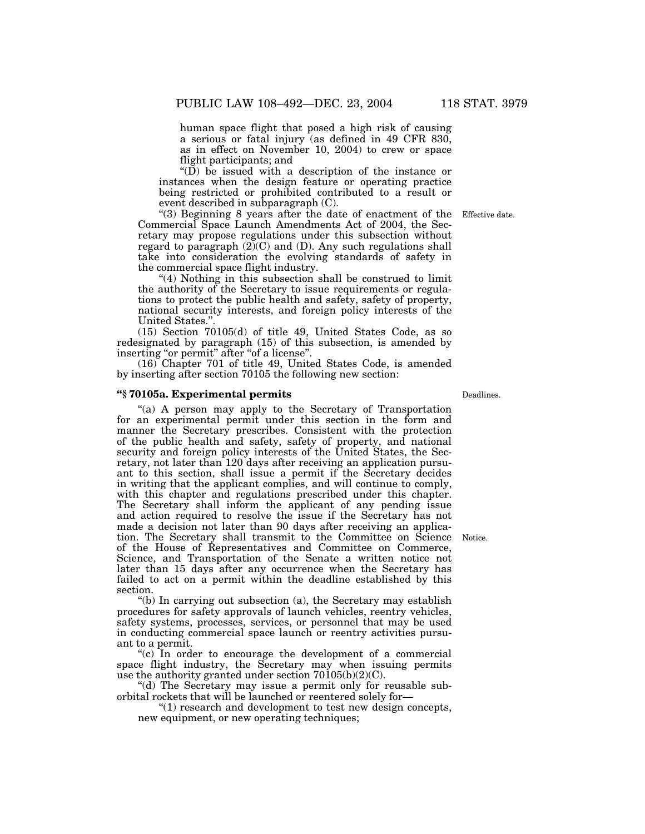human space flight that posed a high risk of causing a serious or fatal injury (as defined in 49 CFR 830, as in effect on November 10, 2004) to crew or space flight participants; and

 $\mathrm{``(D)}$  be issued with a description of the instance or instances when the design feature or operating practice being restricted or prohibited contributed to a result or event described in subparagraph (C).

''(3) Beginning 8 years after the date of enactment of the Commercial Space Launch Amendments Act of 2004, the Secretary may propose regulations under this subsection without regard to paragraph  $(2)(C)$  and  $(D)$ . Any such regulations shall take into consideration the evolving standards of safety in the commercial space flight industry.

"(4) Nothing in this subsection shall be construed to limit the authority of the Secretary to issue requirements or regulations to protect the public health and safety, safety of property, national security interests, and foreign policy interests of the United States."

(15) Section 70105(d) of title 49, United States Code, as so redesignated by paragraph (15) of this subsection, is amended by inserting "or permit" after "of a license".

(16) Chapter 701 of title 49, United States Code, is amended by inserting after section 70105 the following new section:

## **''§ 70105a. Experimental permits**

"(a) A person may apply to the Secretary of Transportation for an experimental permit under this section in the form and manner the Secretary prescribes. Consistent with the protection of the public health and safety, safety of property, and national security and foreign policy interests of the United States, the Secretary, not later than 120 days after receiving an application pursuant to this section, shall issue a permit if the Secretary decides in writing that the applicant complies, and will continue to comply, with this chapter and regulations prescribed under this chapter. The Secretary shall inform the applicant of any pending issue and action required to resolve the issue if the Secretary has not made a decision not later than 90 days after receiving an application. The Secretary shall transmit to the Committee on Science Notice. of the House of Representatives and Committee on Commerce, Science, and Transportation of the Senate a written notice not later than 15 days after any occurrence when the Secretary has failed to act on a permit within the deadline established by this section.

''(b) In carrying out subsection (a), the Secretary may establish procedures for safety approvals of launch vehicles, reentry vehicles, safety systems, processes, services, or personnel that may be used in conducting commercial space launch or reentry activities pursuant to a permit.

"(c) In order to encourage the development of a commercial space flight industry, the Secretary may when issuing permits use the authority granted under section  $70105(b)(2)(C)$ .

''(d) The Secretary may issue a permit only for reusable suborbital rockets that will be launched or reentered solely for—

''(1) research and development to test new design concepts, new equipment, or new operating techniques;

Deadlines.

Effective date.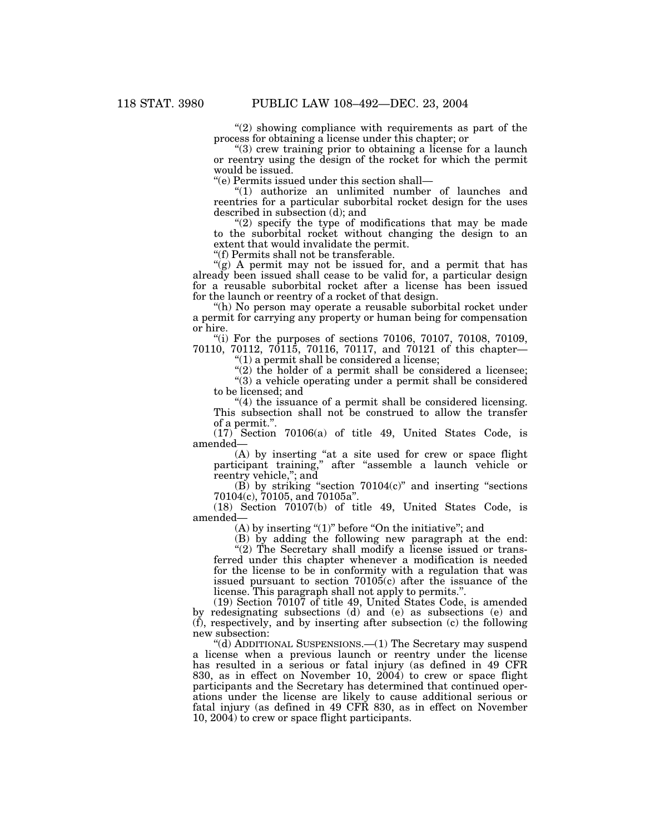$(2)$  showing compliance with requirements as part of the process for obtaining a license under this chapter; or

"(3) crew training prior to obtaining a license for a launch or reentry using the design of the rocket for which the permit would be issued.

''(e) Permits issued under this section shall—

''(1) authorize an unlimited number of launches and reentries for a particular suborbital rocket design for the uses described in subsection (d); and

" $(2)$  specify the type of modifications that may be made to the suborbital rocket without changing the design to an extent that would invalidate the permit.

''(f) Permits shall not be transferable.

"(g) A permit may not be issued for, and a permit that has already been issued shall cease to be valid for, a particular design for a reusable suborbital rocket after a license has been issued for the launch or reentry of a rocket of that design.

"(h) No person may operate a reusable suborbital rocket under a permit for carrying any property or human being for compensation or hire.

 $(1)$  For the purposes of sections 70106, 70107, 70108, 70109,  $70110, 70112, 70115, 70116, 70117,$  and  $70121$  of this chapter-

''(1) a permit shall be considered a license;

" $(2)$  the holder of a permit shall be considered a licensee;

''(3) a vehicle operating under a permit shall be considered to be licensed; and

"(4) the issuance of a permit shall be considered licensing. This subsection shall not be construed to allow the transfer of a permit.''.

(17) Section 70106(a) of title 49, United States Code, is amended—

(A) by inserting ''at a site used for crew or space flight participant training," after "assemble a launch vehicle or reentry vehicle,"; and

 $(B)$  by striking "section 70104 $(c)$ " and inserting "sections 70104(c), 70105, and 70105a''.

(18) Section 70107(b) of title 49, United States Code, is amended—

(A) by inserting " $(1)$ " before "On the initiative"; and

(B) by adding the following new paragraph at the end:

"(2) The Secretary shall modify a license issued or transferred under this chapter whenever a modification is needed for the license to be in conformity with a regulation that was issued pursuant to section 70105(c) after the issuance of the license. This paragraph shall not apply to permits.''.

(19) Section 70107 of title 49, United States Code, is amended by redesignating subsections (d) and (e) as subsections (e) and (f), respectively, and by inserting after subsection (c) the following new subsection:

''(d) ADDITIONAL SUSPENSIONS.—(1) The Secretary may suspend a license when a previous launch or reentry under the license has resulted in a serious or fatal injury (as defined in 49 CFR 830, as in effect on November 10, 2004) to crew or space flight participants and the Secretary has determined that continued operations under the license are likely to cause additional serious or fatal injury (as defined in 49 CFR 830, as in effect on November 10, 2004) to crew or space flight participants.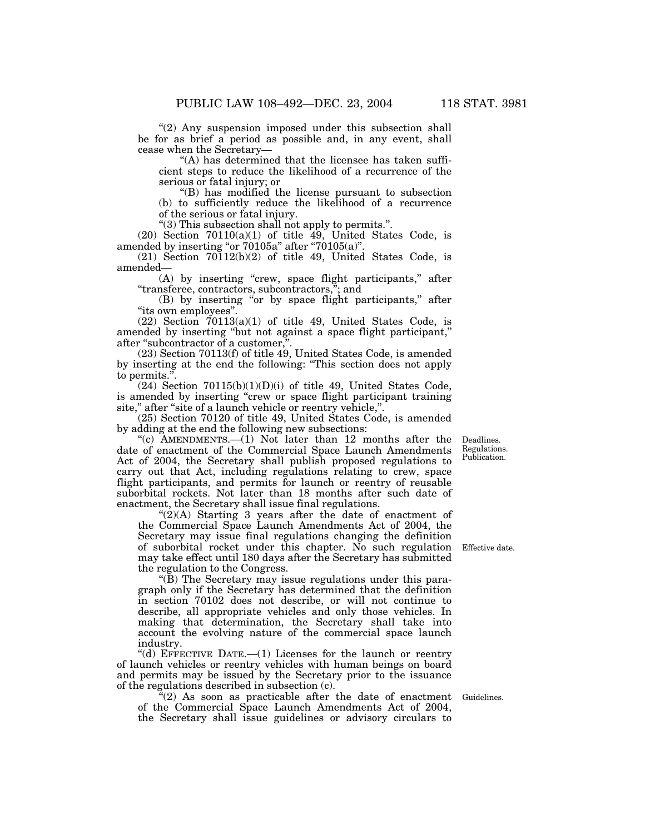"(2) Any suspension imposed under this subsection shall be for as brief a period as possible and, in any event, shall cease when the Secretary—

"(A) has determined that the licensee has taken sufficient steps to reduce the likelihood of a recurrence of the serious or fatal injury; or

''(B) has modified the license pursuant to subsection (b) to sufficiently reduce the likelihood of a recurrence of the serious or fatal injury.

''(3) This subsection shall not apply to permits.''.

 $(20)$  Section  $70110(a)(1)$  of title 49, United States Code, is amended by inserting "or 70105a" after "70105(a)".

(21) Section 70112(b)(2) of title 49, United States Code, is amended—

(A) by inserting "crew, space flight participants," after ''transferee, contractors, subcontractors,''; and

(B) by inserting "or by space flight participants," after "its own employees"

 $(22)$  Section  $70113(a)(1)$  of title 49, United States Code, is amended by inserting ''but not against a space flight participant,'' after ''subcontractor of a customer,''.

(23) Section 70113(f) of title 49, United States Code, is amended by inserting at the end the following: ''This section does not apply to permits.".

 $(24)$  Section  $70115(b)(1)(D)(i)$  of title 49, United States Code, is amended by inserting "crew or space flight participant training site," after "site of a launch vehicle or reentry vehicle,".

(25) Section 70120 of title 49, United States Code, is amended by adding at the end the following new subsections:

"(c) AMENDMENTS.— $(1)$  Not later than 12 months after the date of enactment of the Commercial Space Launch Amendments Act of 2004, the Secretary shall publish proposed regulations to carry out that Act, including regulations relating to crew, space flight participants, and permits for launch or reentry of reusable suborbital rockets. Not later than 18 months after such date of enactment, the Secretary shall issue final regulations.

"(2)(A) Starting 3 years after the date of enactment of the Commercial Space Launch Amendments Act of 2004, the Secretary may issue final regulations changing the definition of suborbital rocket under this chapter. No such regulation may take effect until 180 days after the Secretary has submitted the regulation to the Congress.

''(B) The Secretary may issue regulations under this paragraph only if the Secretary has determined that the definition in section 70102 does not describe, or will not continue to describe, all appropriate vehicles and only those vehicles. In making that determination, the Secretary shall take into account the evolving nature of the commercial space launch industry.

''(d) EFFECTIVE DATE.—(1) Licenses for the launch or reentry of launch vehicles or reentry vehicles with human beings on board and permits may be issued by the Secretary prior to the issuance of the regulations described in subsection (c).

 $f''(2)$  As soon as practicable after the date of enactment Guidelines. of the Commercial Space Launch Amendments Act of 2004, the Secretary shall issue guidelines or advisory circulars to

Deadlines. Regulations. Publication.

Effective date.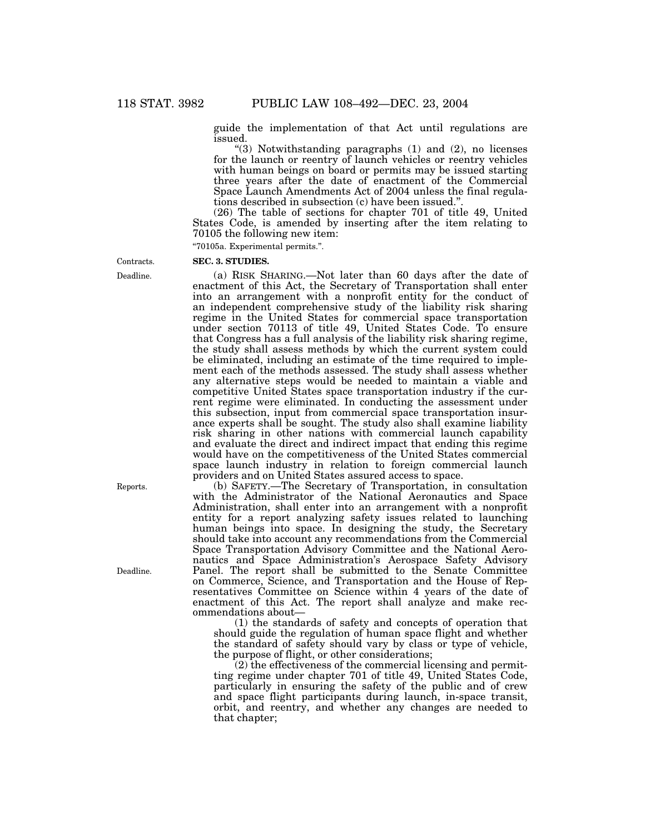guide the implementation of that Act until regulations are issued.

''(3) Notwithstanding paragraphs (1) and (2), no licenses for the launch or reentry of launch vehicles or reentry vehicles with human beings on board or permits may be issued starting three years after the date of enactment of the Commercial Space Launch Amendments Act of 2004 unless the final regulations described in subsection (c) have been issued.''.

(26) The table of sections for chapter 701 of title 49, United States Code, is amended by inserting after the item relating to 70105 the following new item:

''70105a. Experimental permits.''.

Deadline. Contracts.

## **SEC. 3. STUDIES.**

(a) RISK SHARING.—Not later than 60 days after the date of enactment of this Act, the Secretary of Transportation shall enter into an arrangement with a nonprofit entity for the conduct of an independent comprehensive study of the liability risk sharing regime in the United States for commercial space transportation under section 70113 of title 49, United States Code. To ensure that Congress has a full analysis of the liability risk sharing regime, the study shall assess methods by which the current system could be eliminated, including an estimate of the time required to implement each of the methods assessed. The study shall assess whether any alternative steps would be needed to maintain a viable and competitive United States space transportation industry if the current regime were eliminated. In conducting the assessment under this subsection, input from commercial space transportation insurance experts shall be sought. The study also shall examine liability risk sharing in other nations with commercial launch capability and evaluate the direct and indirect impact that ending this regime would have on the competitiveness of the United States commercial space launch industry in relation to foreign commercial launch providers and on United States assured access to space.

(b) SAFETY.—The Secretary of Transportation, in consultation with the Administrator of the National Aeronautics and Space Administration, shall enter into an arrangement with a nonprofit entity for a report analyzing safety issues related to launching human beings into space. In designing the study, the Secretary should take into account any recommendations from the Commercial Space Transportation Advisory Committee and the National Aeronautics and Space Administration's Aerospace Safety Advisory Panel. The report shall be submitted to the Senate Committee on Commerce, Science, and Transportation and the House of Representatives Committee on Science within 4 years of the date of enactment of this Act. The report shall analyze and make recommendations about—

(1) the standards of safety and concepts of operation that should guide the regulation of human space flight and whether the standard of safety should vary by class or type of vehicle, the purpose of flight, or other considerations;

(2) the effectiveness of the commercial licensing and permitting regime under chapter 701 of title 49, United States Code, particularly in ensuring the safety of the public and of crew and space flight participants during launch, in-space transit, orbit, and reentry, and whether any changes are needed to that chapter;

Reports.

Deadline.